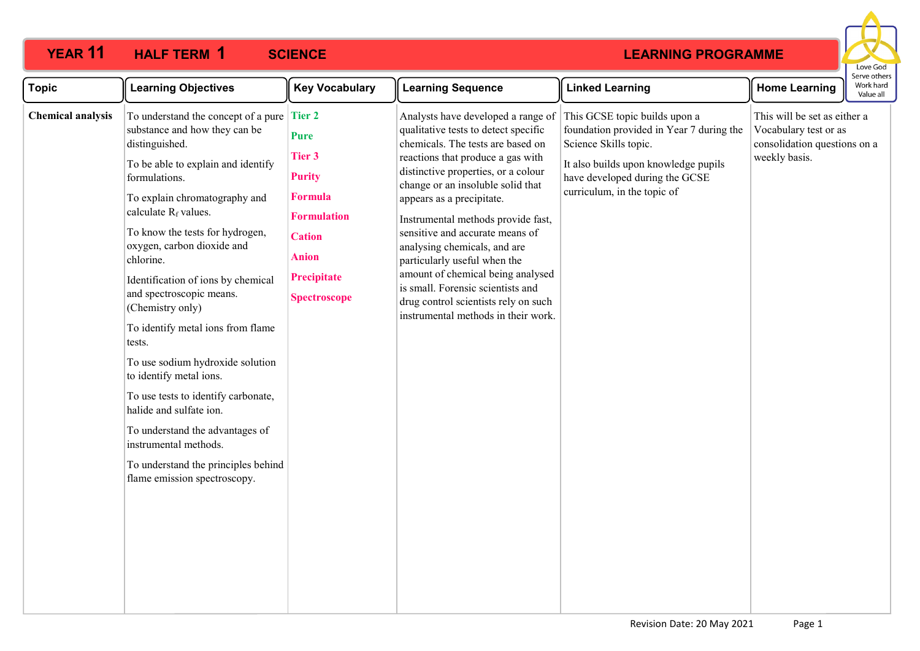## **12 HALF TERM 1 SCIENCE**



| <b>Topic</b>             | <b>Learning Objectives</b>                                                                                                                                                                                                                                                                                                                                                                                                                                                                                                                                                                                                                                                                                | <b>Key Vocabulary</b>                                                                                                                                        | <b>Learning Sequence</b>                                                                                                                                                                                                                                                                                                                                                                                                                                                                                                                                        | <b>Linked Learning</b>                                                                                                                                                                                      | <b>Home Learning</b>                                                                                   | Serve othe<br>Work hard<br>Value all |
|--------------------------|-----------------------------------------------------------------------------------------------------------------------------------------------------------------------------------------------------------------------------------------------------------------------------------------------------------------------------------------------------------------------------------------------------------------------------------------------------------------------------------------------------------------------------------------------------------------------------------------------------------------------------------------------------------------------------------------------------------|--------------------------------------------------------------------------------------------------------------------------------------------------------------|-----------------------------------------------------------------------------------------------------------------------------------------------------------------------------------------------------------------------------------------------------------------------------------------------------------------------------------------------------------------------------------------------------------------------------------------------------------------------------------------------------------------------------------------------------------------|-------------------------------------------------------------------------------------------------------------------------------------------------------------------------------------------------------------|--------------------------------------------------------------------------------------------------------|--------------------------------------|
| <b>Chemical analysis</b> | To understand the concept of a pure Tier $2$<br>substance and how they can be<br>distinguished.<br>To be able to explain and identify<br>formulations.<br>To explain chromatography and<br>calculate $R_f$ values.<br>To know the tests for hydrogen,<br>oxygen, carbon dioxide and<br>chlorine.<br>Identification of ions by chemical<br>and spectroscopic means.<br>(Chemistry only)<br>To identify metal ions from flame<br>tests.<br>To use sodium hydroxide solution<br>to identify metal ions.<br>To use tests to identify carbonate,<br>halide and sulfate ion.<br>To understand the advantages of<br>instrumental methods.<br>To understand the principles behind<br>flame emission spectroscopy. | <b>Pure</b><br><b>Tier 3</b><br><b>Purity</b><br><b>Formula</b><br><b>Formulation</b><br><b>Cation</b><br><b>Anion</b><br>Precipitate<br><b>Spectroscope</b> | Analysts have developed a range of<br>qualitative tests to detect specific<br>chemicals. The tests are based on<br>reactions that produce a gas with<br>distinctive properties, or a colour<br>change or an insoluble solid that<br>appears as a precipitate.<br>Instrumental methods provide fast,<br>sensitive and accurate means of<br>analysing chemicals, and are<br>particularly useful when the<br>amount of chemical being analysed<br>is small. Forensic scientists and<br>drug control scientists rely on such<br>instrumental methods in their work. | This GCSE topic builds upon a<br>foundation provided in Year 7 during the<br>Science Skills topic.<br>It also builds upon knowledge pupils<br>have developed during the GCSE<br>curriculum, in the topic of | This will be set as either a<br>Vocabulary test or as<br>consolidation questions on a<br>weekly basis. |                                      |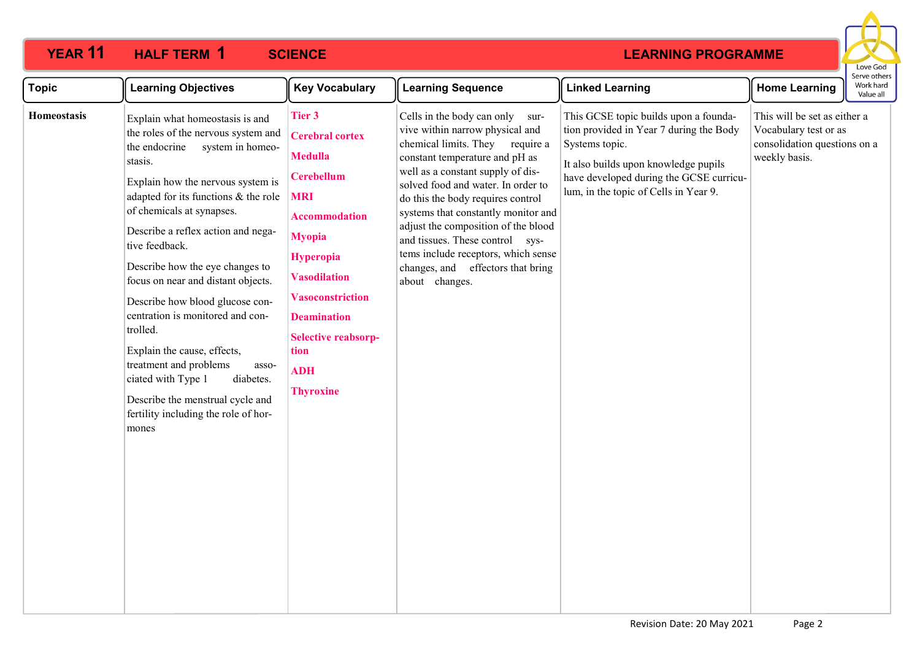## **12 HALF TERM 1 SCIENCE**



| <b>Topic</b> | <b>Learning Objectives</b>                                                                                                                                                                                                                                                                                                                                                                                                                                                                                                                                                                                                                     | <b>Key Vocabulary</b>                                                                                                                                                                                                                                                                              | <b>Learning Sequence</b>                                                                                                                                                                                                                                                                                                                                                                                                                                               | <b>Linked Learning</b>                                                                                                                                                                                                         | <b>Home Learning</b>                                                                                   | Serve other<br>Work hard<br>Value all |
|--------------|------------------------------------------------------------------------------------------------------------------------------------------------------------------------------------------------------------------------------------------------------------------------------------------------------------------------------------------------------------------------------------------------------------------------------------------------------------------------------------------------------------------------------------------------------------------------------------------------------------------------------------------------|----------------------------------------------------------------------------------------------------------------------------------------------------------------------------------------------------------------------------------------------------------------------------------------------------|------------------------------------------------------------------------------------------------------------------------------------------------------------------------------------------------------------------------------------------------------------------------------------------------------------------------------------------------------------------------------------------------------------------------------------------------------------------------|--------------------------------------------------------------------------------------------------------------------------------------------------------------------------------------------------------------------------------|--------------------------------------------------------------------------------------------------------|---------------------------------------|
| Homeostasis  | Explain what homeostasis is and<br>the roles of the nervous system and<br>the endocrine<br>system in homeo-<br>stasis.<br>Explain how the nervous system is<br>adapted for its functions & the role<br>of chemicals at synapses.<br>Describe a reflex action and nega-<br>tive feedback.<br>Describe how the eye changes to<br>focus on near and distant objects.<br>Describe how blood glucose con-<br>centration is monitored and con-<br>trolled.<br>Explain the cause, effects,<br>treatment and problems<br>asso-<br>ciated with Type 1<br>diabetes.<br>Describe the menstrual cycle and<br>fertility including the role of hor-<br>mones | Tier 3<br><b>Cerebral cortex</b><br><b>Medulla</b><br><b>Cerebellum</b><br><b>MRI</b><br><b>Accommodation</b><br><b>Myopia</b><br><b>Hyperopia</b><br><b>Vasodilation</b><br><b>Vasoconstriction</b><br><b>Deamination</b><br><b>Selective reabsorp-</b><br>tion<br><b>ADH</b><br><b>Thyroxine</b> | Cells in the body can only sur-<br>vive within narrow physical and<br>chemical limits. They require a<br>constant temperature and pH as<br>well as a constant supply of dis-<br>solved food and water. In order to<br>do this the body requires control<br>systems that constantly monitor and<br>adjust the composition of the blood<br>and tissues. These control sys-<br>tems include receptors, which sense<br>changes, and effectors that bring<br>about changes. | This GCSE topic builds upon a founda-<br>tion provided in Year 7 during the Body<br>Systems topic.<br>It also builds upon knowledge pupils<br>have developed during the GCSE curricu-<br>lum, in the topic of Cells in Year 9. | This will be set as either a<br>Vocabulary test or as<br>consolidation questions on a<br>weekly basis. |                                       |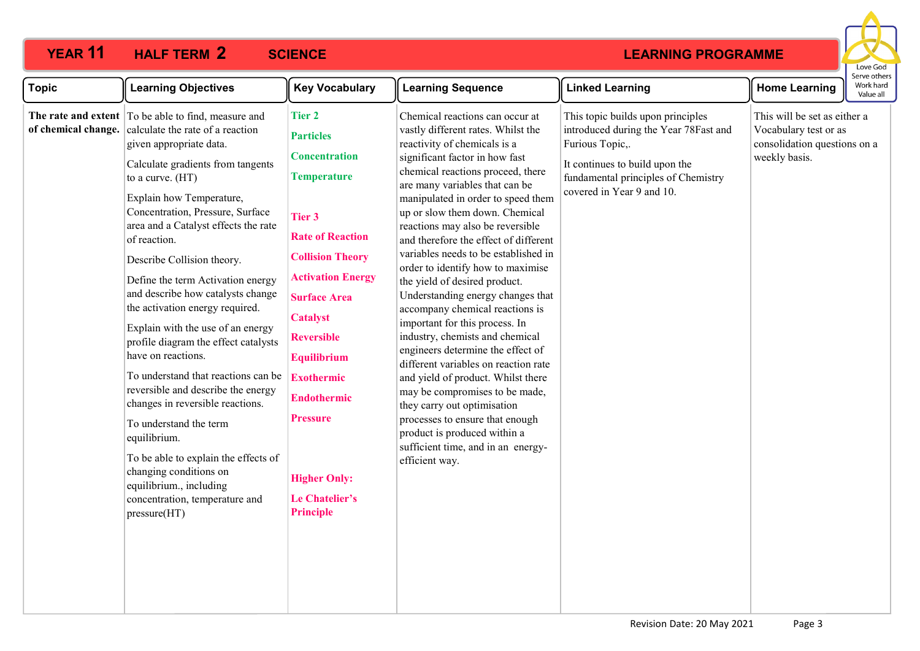#### **11 HALF TERM 2 SCIENCE**



| <b>Topic</b>        | <b>Learning Objectives</b>                                                                                                                                                                                                                                                                                                                                                                                                                                                                                                                                                                                                                                                                                                                                                                                                                                  | <b>Key Vocabulary</b>                                                                                                                                                                                                                                                                                                                                                                       | <b>Learning Sequence</b>                                                                                                                                                                                                                                                                                                                                                                                                                                                                                                                                                                                                                                                                                                                                                                                                                                                                                                                      | <b>Linked Learning</b>                                                                                                                                                                              | <b>Home Learning</b>                                                                                   | serve otne<br>Work hard<br>Value all |
|---------------------|-------------------------------------------------------------------------------------------------------------------------------------------------------------------------------------------------------------------------------------------------------------------------------------------------------------------------------------------------------------------------------------------------------------------------------------------------------------------------------------------------------------------------------------------------------------------------------------------------------------------------------------------------------------------------------------------------------------------------------------------------------------------------------------------------------------------------------------------------------------|---------------------------------------------------------------------------------------------------------------------------------------------------------------------------------------------------------------------------------------------------------------------------------------------------------------------------------------------------------------------------------------------|-----------------------------------------------------------------------------------------------------------------------------------------------------------------------------------------------------------------------------------------------------------------------------------------------------------------------------------------------------------------------------------------------------------------------------------------------------------------------------------------------------------------------------------------------------------------------------------------------------------------------------------------------------------------------------------------------------------------------------------------------------------------------------------------------------------------------------------------------------------------------------------------------------------------------------------------------|-----------------------------------------------------------------------------------------------------------------------------------------------------------------------------------------------------|--------------------------------------------------------------------------------------------------------|--------------------------------------|
| of chemical change. | The rate and extent To be able to find, measure and<br>calculate the rate of a reaction<br>given appropriate data.<br>Calculate gradients from tangents<br>to a curve. (HT)<br>Explain how Temperature,<br>Concentration, Pressure, Surface<br>area and a Catalyst effects the rate<br>of reaction.<br>Describe Collision theory.<br>Define the term Activation energy<br>and describe how catalysts change<br>the activation energy required.<br>Explain with the use of an energy<br>profile diagram the effect catalysts<br>have on reactions.<br>To understand that reactions can be<br>reversible and describe the energy<br>changes in reversible reactions.<br>To understand the term<br>equilibrium.<br>To be able to explain the effects of<br>changing conditions on<br>equilibrium., including<br>concentration, temperature and<br>pressure(HT) | <b>Tier 2</b><br><b>Particles</b><br><b>Concentration</b><br><b>Temperature</b><br>Tier 3<br><b>Rate of Reaction</b><br><b>Collision Theory</b><br><b>Activation Energy</b><br><b>Surface Area</b><br><b>Catalyst</b><br><b>Reversible</b><br><b>Equilibrium</b><br><b>Exothermic</b><br><b>Endothermic</b><br><b>Pressure</b><br><b>Higher Only:</b><br>Le Chatelier's<br><b>Principle</b> | Chemical reactions can occur at<br>vastly different rates. Whilst the<br>reactivity of chemicals is a<br>significant factor in how fast<br>chemical reactions proceed, there<br>are many variables that can be<br>manipulated in order to speed them<br>up or slow them down. Chemical<br>reactions may also be reversible<br>and therefore the effect of different<br>variables needs to be established in<br>order to identify how to maximise<br>the yield of desired product.<br>Understanding energy changes that<br>accompany chemical reactions is<br>important for this process. In<br>industry, chemists and chemical<br>engineers determine the effect of<br>different variables on reaction rate<br>and yield of product. Whilst there<br>may be compromises to be made,<br>they carry out optimisation<br>processes to ensure that enough<br>product is produced within a<br>sufficient time, and in an energy-<br>efficient way. | This topic builds upon principles<br>introduced during the Year 78Fast and<br>Furious Topic,.<br>It continues to build upon the<br>fundamental principles of Chemistry<br>covered in Year 9 and 10. | This will be set as either a<br>Vocabulary test or as<br>consolidation questions on a<br>weekly basis. |                                      |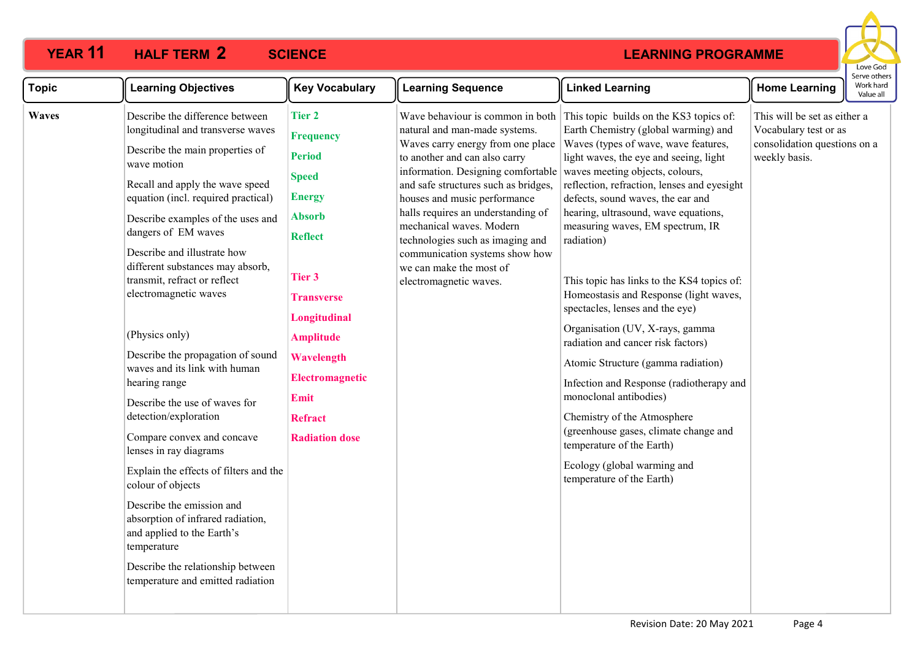## **11 HALF TERM 2 SCIENCE**

|              |                                                                                                                                                                                                                                                                                                                                                                                                                                                                                                                                                                                                                                                                                                                                                                                                                                                                             |                                                                                                                                                                                                                                                                                      |                                                                                                                                                                                                                                                                                                                                                                                                                                                    |                                                                                                                                                                                                                                                                                                                                                                                                                                                                                                                                                                                                                                                                                                                                                                                                                                                                     |                                                                                                        | Love God                               |
|--------------|-----------------------------------------------------------------------------------------------------------------------------------------------------------------------------------------------------------------------------------------------------------------------------------------------------------------------------------------------------------------------------------------------------------------------------------------------------------------------------------------------------------------------------------------------------------------------------------------------------------------------------------------------------------------------------------------------------------------------------------------------------------------------------------------------------------------------------------------------------------------------------|--------------------------------------------------------------------------------------------------------------------------------------------------------------------------------------------------------------------------------------------------------------------------------------|----------------------------------------------------------------------------------------------------------------------------------------------------------------------------------------------------------------------------------------------------------------------------------------------------------------------------------------------------------------------------------------------------------------------------------------------------|---------------------------------------------------------------------------------------------------------------------------------------------------------------------------------------------------------------------------------------------------------------------------------------------------------------------------------------------------------------------------------------------------------------------------------------------------------------------------------------------------------------------------------------------------------------------------------------------------------------------------------------------------------------------------------------------------------------------------------------------------------------------------------------------------------------------------------------------------------------------|--------------------------------------------------------------------------------------------------------|----------------------------------------|
| <b>Topic</b> | <b>Learning Objectives</b>                                                                                                                                                                                                                                                                                                                                                                                                                                                                                                                                                                                                                                                                                                                                                                                                                                                  | <b>Key Vocabulary</b>                                                                                                                                                                                                                                                                | <b>Learning Sequence</b>                                                                                                                                                                                                                                                                                                                                                                                                                           | <b>Linked Learning</b>                                                                                                                                                                                                                                                                                                                                                                                                                                                                                                                                                                                                                                                                                                                                                                                                                                              | <b>Home Learning</b>                                                                                   | Serve others<br>Work hard<br>Value all |
| <b>Waves</b> | Describe the difference between<br>longitudinal and transverse waves<br>Describe the main properties of<br>wave motion<br>Recall and apply the wave speed<br>equation (incl. required practical)<br>Describe examples of the uses and<br>dangers of EM waves<br>Describe and illustrate how<br>different substances may absorb,<br>transmit, refract or reflect<br>electromagnetic waves<br>(Physics only)<br>Describe the propagation of sound<br>waves and its link with human<br>hearing range<br>Describe the use of waves for<br>detection/exploration<br>Compare convex and concave<br>lenses in ray diagrams<br>Explain the effects of filters and the<br>colour of objects<br>Describe the emission and<br>absorption of infrared radiation,<br>and applied to the Earth's<br>temperature<br>Describe the relationship between<br>temperature and emitted radiation | <b>Tier 2</b><br><b>Frequency</b><br><b>Period</b><br><b>Speed</b><br><b>Energy</b><br><b>Absorb</b><br><b>Reflect</b><br>Tier 3<br><b>Transverse</b><br>Longitudinal<br><b>Amplitude</b><br>Wavelength<br><b>Electromagnetic</b><br>Emit<br><b>Refract</b><br><b>Radiation dose</b> | Wave behaviour is common in both<br>natural and man-made systems.<br>Waves carry energy from one place<br>to another and can also carry<br>information. Designing comfortable<br>and safe structures such as bridges,<br>houses and music performance<br>halls requires an understanding of<br>mechanical waves. Modern<br>technologies such as imaging and<br>communication systems show how<br>we can make the most of<br>electromagnetic waves. | This topic builds on the KS3 topics of:<br>Earth Chemistry (global warming) and<br>Waves (types of wave, wave features,<br>light waves, the eye and seeing, light<br>waves meeting objects, colours,<br>reflection, refraction, lenses and eyesight<br>defects, sound waves, the ear and<br>hearing, ultrasound, wave equations,<br>measuring waves, EM spectrum, IR<br>radiation)<br>This topic has links to the KS4 topics of:<br>Homeostasis and Response (light waves,<br>spectacles, lenses and the eye)<br>Organisation (UV, X-rays, gamma<br>radiation and cancer risk factors)<br>Atomic Structure (gamma radiation)<br>Infection and Response (radiotherapy and<br>monoclonal antibodies)<br>Chemistry of the Atmosphere<br>(greenhouse gases, climate change and<br>temperature of the Earth)<br>Ecology (global warming and<br>temperature of the Earth) | This will be set as either a<br>Vocabulary test or as<br>consolidation questions on a<br>weekly basis. |                                        |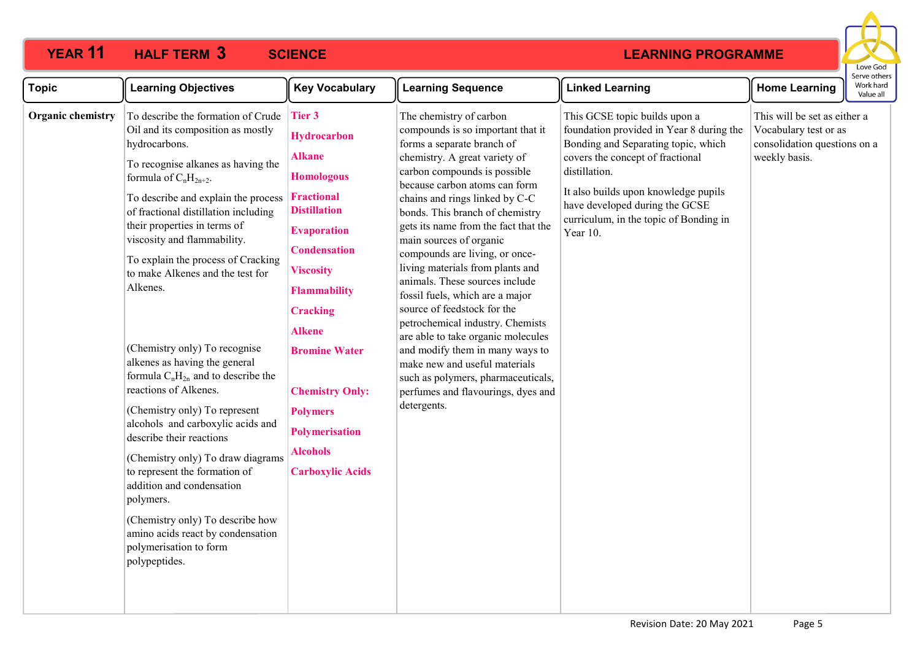### **YEAR 11 HALF TERM SCIENCE 3**



| <b>Topic</b>      | <b>Learning Objectives</b>                                                                                                                                                                                                                                                                                                                                                                                                                                                                                                                                                                                                                                                                                                                                                                                                                                                   | <b>Key Vocabulary</b>                                                                                                                                                                                                                                                                                                                                                                         | <b>Learning Sequence</b>                                                                                                                                                                                                                                                                                                                                                                                                                                                                                                                                                                                                                                                                                                                                | <b>Linked Learning</b>                                                                                                                                                                                                                                                                                | <b>Home Learning</b>                                                                                   | Serve other<br>Work hard<br>Value all |
|-------------------|------------------------------------------------------------------------------------------------------------------------------------------------------------------------------------------------------------------------------------------------------------------------------------------------------------------------------------------------------------------------------------------------------------------------------------------------------------------------------------------------------------------------------------------------------------------------------------------------------------------------------------------------------------------------------------------------------------------------------------------------------------------------------------------------------------------------------------------------------------------------------|-----------------------------------------------------------------------------------------------------------------------------------------------------------------------------------------------------------------------------------------------------------------------------------------------------------------------------------------------------------------------------------------------|---------------------------------------------------------------------------------------------------------------------------------------------------------------------------------------------------------------------------------------------------------------------------------------------------------------------------------------------------------------------------------------------------------------------------------------------------------------------------------------------------------------------------------------------------------------------------------------------------------------------------------------------------------------------------------------------------------------------------------------------------------|-------------------------------------------------------------------------------------------------------------------------------------------------------------------------------------------------------------------------------------------------------------------------------------------------------|--------------------------------------------------------------------------------------------------------|---------------------------------------|
| Organic chemistry | To describe the formation of Crude<br>Oil and its composition as mostly<br>hydrocarbons.<br>To recognise alkanes as having the<br>formula of $C_nH_{2n+2}$ .<br>To describe and explain the process<br>of fractional distillation including<br>their properties in terms of<br>viscosity and flammability.<br>To explain the process of Cracking<br>to make Alkenes and the test for<br>Alkenes.<br>(Chemistry only) To recognise<br>alkenes as having the general<br>formula $C_nH_{2n}$ and to describe the<br>reactions of Alkenes.<br>(Chemistry only) To represent<br>alcohols and carboxylic acids and<br>describe their reactions<br>(Chemistry only) To draw diagrams<br>to represent the formation of<br>addition and condensation<br>polymers.<br>(Chemistry only) To describe how<br>amino acids react by condensation<br>polymerisation to form<br>polypeptides. | <b>Tier 3</b><br><b>Hydrocarbon</b><br><b>Alkane</b><br><b>Homologous</b><br><b>Fractional</b><br><b>Distillation</b><br><b>Evaporation</b><br><b>Condensation</b><br><b>Viscosity</b><br><b>Flammability</b><br><b>Cracking</b><br><b>Alkene</b><br><b>Bromine Water</b><br><b>Chemistry Only:</b><br><b>Polymers</b><br><b>Polymerisation</b><br><b>Alcohols</b><br><b>Carboxylic Acids</b> | The chemistry of carbon<br>compounds is so important that it<br>forms a separate branch of<br>chemistry. A great variety of<br>carbon compounds is possible<br>because carbon atoms can form<br>chains and rings linked by C-C<br>bonds. This branch of chemistry<br>gets its name from the fact that the<br>main sources of organic<br>compounds are living, or once-<br>living materials from plants and<br>animals. These sources include<br>fossil fuels, which are a major<br>source of feedstock for the<br>petrochemical industry. Chemists<br>are able to take organic molecules<br>and modify them in many ways to<br>make new and useful materials<br>such as polymers, pharmaceuticals,<br>perfumes and flavourings, dyes and<br>detergents. | This GCSE topic builds upon a<br>foundation provided in Year 8 during the<br>Bonding and Separating topic, which<br>covers the concept of fractional<br>distillation.<br>It also builds upon knowledge pupils<br>have developed during the GCSE<br>curriculum, in the topic of Bonding in<br>Year 10. | This will be set as either a<br>Vocabulary test or as<br>consolidation questions on a<br>weekly basis. |                                       |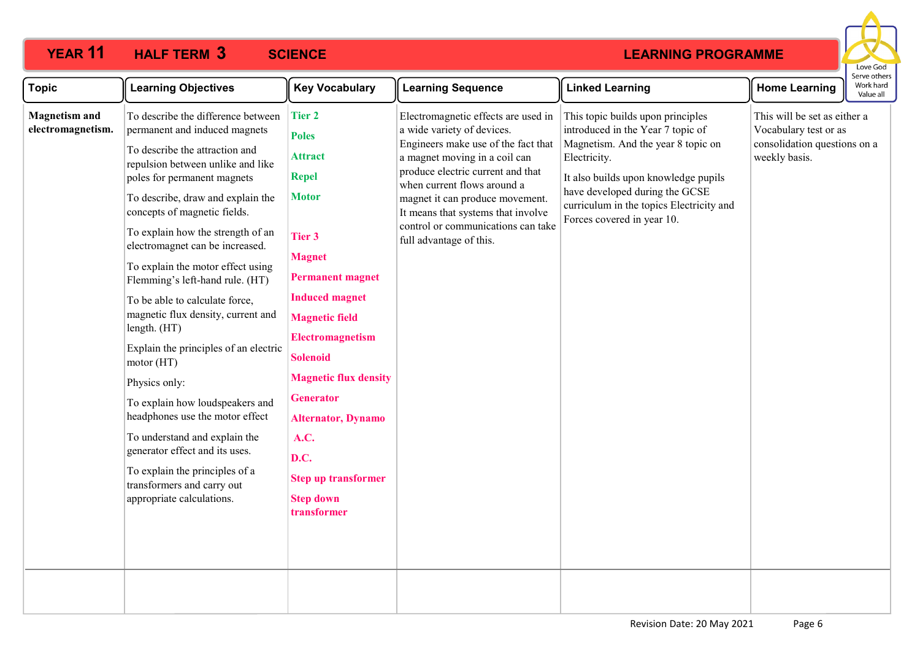## **YEAR 11 HALF TERM SCIENCE 3**



| <b>Topic</b>                              | <b>Learning Objectives</b>                                                                                                                                                                                                                                                                                                                                                                                                                                                                                                                                                                                                                                                                                                                                                                           | <b>Key Vocabulary</b>                                                                                                                                                                                                                                                                                                                                                                                   | <b>Learning Sequence</b>                                                                                                                                                                                                                                                                                                                                | <b>Linked Learning</b>                                                                                                                                                                                                                                                           | <b>Home Learning</b>                                                                                   | eive others<br>Work hard<br>Value all |
|-------------------------------------------|------------------------------------------------------------------------------------------------------------------------------------------------------------------------------------------------------------------------------------------------------------------------------------------------------------------------------------------------------------------------------------------------------------------------------------------------------------------------------------------------------------------------------------------------------------------------------------------------------------------------------------------------------------------------------------------------------------------------------------------------------------------------------------------------------|---------------------------------------------------------------------------------------------------------------------------------------------------------------------------------------------------------------------------------------------------------------------------------------------------------------------------------------------------------------------------------------------------------|---------------------------------------------------------------------------------------------------------------------------------------------------------------------------------------------------------------------------------------------------------------------------------------------------------------------------------------------------------|----------------------------------------------------------------------------------------------------------------------------------------------------------------------------------------------------------------------------------------------------------------------------------|--------------------------------------------------------------------------------------------------------|---------------------------------------|
| <b>Magnetism and</b><br>electromagnetism. | To describe the difference between<br>permanent and induced magnets<br>To describe the attraction and<br>repulsion between unlike and like<br>poles for permanent magnets<br>To describe, draw and explain the<br>concepts of magnetic fields.<br>To explain how the strength of an<br>electromagnet can be increased.<br>To explain the motor effect using<br>Flemming's left-hand rule. (HT)<br>To be able to calculate force,<br>magnetic flux density, current and<br>length. (HT)<br>Explain the principles of an electric<br>motor (HT)<br>Physics only:<br>To explain how loudspeakers and<br>headphones use the motor effect<br>To understand and explain the<br>generator effect and its uses.<br>To explain the principles of a<br>transformers and carry out<br>appropriate calculations. | <b>Tier 2</b><br><b>Poles</b><br><b>Attract</b><br><b>Repel</b><br><b>Motor</b><br>Tier 3<br><b>Magnet</b><br><b>Permanent magnet</b><br><b>Induced magnet</b><br><b>Magnetic field</b><br><b>Electromagnetism</b><br><b>Solenoid</b><br><b>Magnetic flux density</b><br><b>Generator</b><br><b>Alternator, Dynamo</b><br>A.C.<br>D.C.<br><b>Step up transformer</b><br><b>Step down</b><br>transformer | Electromagnetic effects are used in<br>a wide variety of devices.<br>Engineers make use of the fact that<br>a magnet moving in a coil can<br>produce electric current and that<br>when current flows around a<br>magnet it can produce movement.<br>It means that systems that involve<br>control or communications can take<br>full advantage of this. | This topic builds upon principles<br>introduced in the Year 7 topic of<br>Magnetism. And the year 8 topic on<br>Electricity.<br>It also builds upon knowledge pupils<br>have developed during the GCSE<br>curriculum in the topics Electricity and<br>Forces covered in year 10. | This will be set as either a<br>Vocabulary test or as<br>consolidation questions on a<br>weekly basis. |                                       |
|                                           |                                                                                                                                                                                                                                                                                                                                                                                                                                                                                                                                                                                                                                                                                                                                                                                                      |                                                                                                                                                                                                                                                                                                                                                                                                         |                                                                                                                                                                                                                                                                                                                                                         |                                                                                                                                                                                                                                                                                  |                                                                                                        |                                       |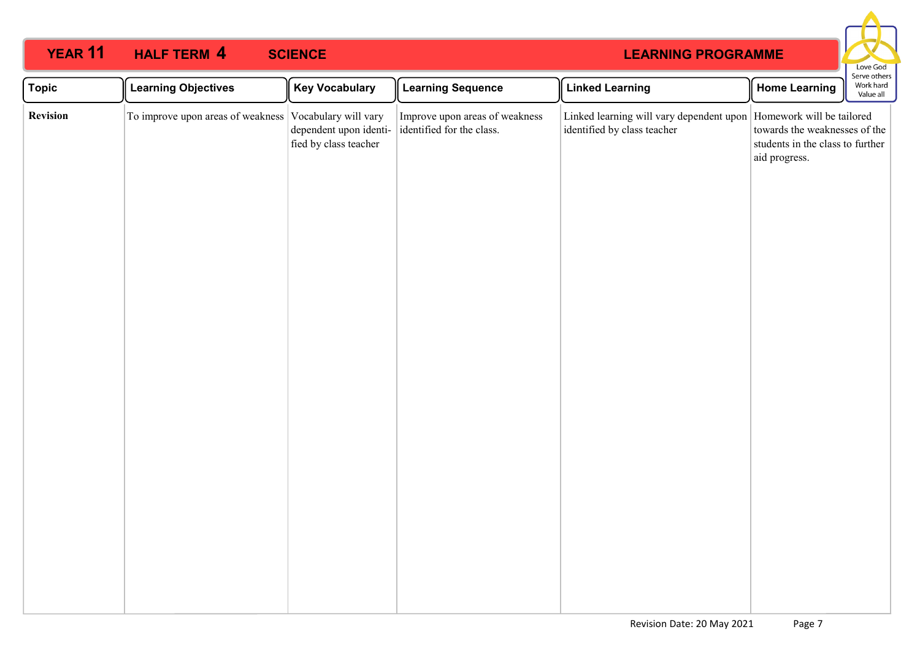## **11 HALF TERM 4 SCIENCE**



| <b>Topic</b> | <b>Learning Objectives</b>                             | <b>Key Vocabulary</b>                           | <b>Learning Sequence</b>                                    | <b>Linked Learning</b>                                                                              | <b>Home Learning</b>                                                               | <b>SEIVE OUTERS</b><br>Work hard<br>Value all |
|--------------|--------------------------------------------------------|-------------------------------------------------|-------------------------------------------------------------|-----------------------------------------------------------------------------------------------------|------------------------------------------------------------------------------------|-----------------------------------------------|
| Revision     | To improve upon areas of weakness Vocabulary will vary | dependent upon identi-<br>fied by class teacher | Improve upon areas of weakness<br>identified for the class. | Linked learning will vary dependent upon   Homework will be tailored<br>identified by class teacher | towards the weaknesses of the<br>students in the class to further<br>aid progress. |                                               |
|              |                                                        |                                                 |                                                             |                                                                                                     |                                                                                    |                                               |
|              |                                                        |                                                 |                                                             |                                                                                                     |                                                                                    |                                               |
|              |                                                        |                                                 |                                                             |                                                                                                     |                                                                                    |                                               |
|              |                                                        |                                                 |                                                             |                                                                                                     |                                                                                    |                                               |
|              |                                                        |                                                 |                                                             |                                                                                                     |                                                                                    |                                               |
|              |                                                        |                                                 |                                                             |                                                                                                     |                                                                                    |                                               |